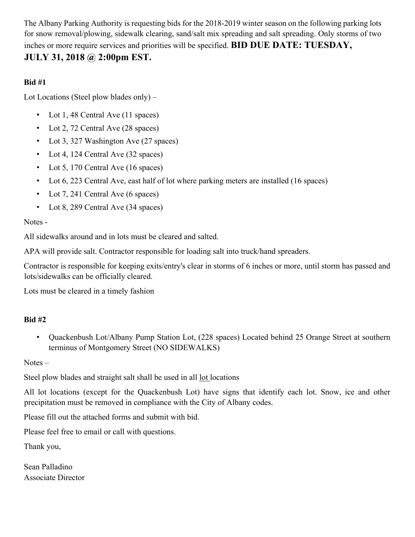The Albany Parking Authority is requesting bids for the 2018-2019 winter season on the following parking lots for snow removal/plowing, sidewalk clearing, sand/salt mix spreading and salt spreading. Only storms of two inches or more require services and priorities will be specified. **BID DUE DATE: TUESDAY,** 

# **JULY 31, 2018 @ 2:00pm EST.**

### **Bid #1**

Lot Locations (Steel plow blades only) –

- Lot 1, 48 Central Ave (11 spaces)
- Lot 2, 72 Central Ave (28 spaces)
- Lot 3, 327 Washington Ave (27 spaces)
- Lot 4, 124 Central Ave (32 spaces)
- Lot 5, 170 Central Ave (16 spaces)
- Lot 6, 223 Central Ave, east half of lot where parking meters are installed (16 spaces)
- Lot 7, 241 Central Ave (6 spaces)
- Lot 8, 289 Central Ave (34 spaces)

Notes -

All sidewalks around and in lots must be cleared and salted.

APA will provide salt. Contractor responsible for loading salt into truck/hand spreaders.

Contractor is responsible for keeping exits/entry's clear in storms of 6 inches or more, until storm has passed and lots/sidewalks can be officially cleared.

Lots must be cleared in a timely fashion

## **Bid #2**

• Quackenbush Lot/Albany Pump Station Lot, (228 spaces) Located behind 25 Orange Street at southern terminus of Montgomery Street (NO SIDEWALKS)

Notes –

Steel plow blades and straight salt shall be used in all lot locations

All lot locations (except for the Quackenbush Lot) have signs that identify each lot. Snow, ice and other precipitation must be removed in compliance with the City of Albany codes.

Please fill out the attached forms and submit with bid.

Please feel free to email or call with questions.

Thank you,

Sean Palladino Associate Director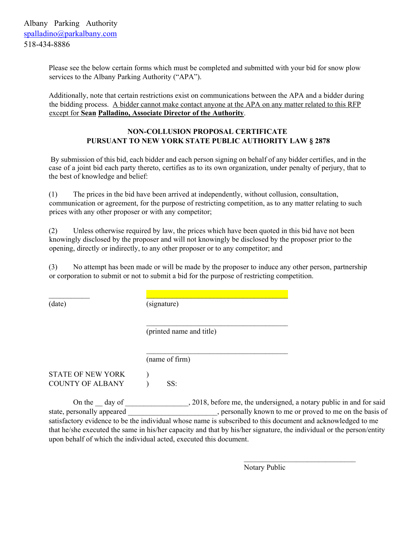Please see the below certain forms which must be completed and submitted with your bid for snow plow services to the Albany Parking Authority ("APA").

Additionally, note that certain restrictions exist on communications between the APA and a bidder during the bidding process. A bidder cannot make contact anyone at the APA on any matter related to this RFP except for **Sean Palladino, Associate Director of the Authority**.

#### **NON-COLLUSION PROPOSAL CERTIFICATE PURSUANT TO NEW YORK STATE PUBLIC AUTHORITY LAW § 2878**

 By submission of this bid, each bidder and each person signing on behalf of any bidder certifies, and in the case of a joint bid each party thereto, certifies as to its own organization, under penalty of perjury, that to the best of knowledge and belief:

(1) The prices in the bid have been arrived at independently, without collusion, consultation, communication or agreement, for the purpose of restricting competition, as to any matter relating to such prices with any other proposer or with any competitor;

(2) Unless otherwise required by law, the prices which have been quoted in this bid have not been knowingly disclosed by the proposer and will not knowingly be disclosed by the proposer prior to the opening, directly or indirectly, to any other proposer or to any competitor; and

(3) No attempt has been made or will be made by the proposer to induce any other person, partnership or corporation to submit or not to submit a bid for the purpose of restricting competition.

(date)

(signature)

 $\mathcal{L}_\text{max} = \mathcal{L}_\text{max} = \mathcal{L}_\text{max} = \mathcal{L}_\text{max} = \mathcal{L}_\text{max} = \mathcal{L}_\text{max} = \mathcal{L}_\text{max} = \mathcal{L}_\text{max} = \mathcal{L}_\text{max} = \mathcal{L}_\text{max} = \mathcal{L}_\text{max} = \mathcal{L}_\text{max} = \mathcal{L}_\text{max} = \mathcal{L}_\text{max} = \mathcal{L}_\text{max} = \mathcal{L}_\text{max} = \mathcal{L}_\text{max} = \mathcal{L}_\text{max} = \mathcal{$ 

(name of firm)

(printed name and title)

 $\mathcal{L}_\text{max}$  and  $\mathcal{L}_\text{max}$  and  $\mathcal{L}_\text{max}$  and  $\mathcal{L}_\text{max}$ 

STATE OF NEW YORK  $\qquad$  ) COUNTY OF ALBANY (SS:

On the \_\_ day of \_\_\_\_\_\_\_\_\_\_\_\_\_\_\_, 2018, before me, the undersigned, a notary public in and for said state, personally appeared \_\_\_\_\_\_\_\_\_\_\_\_\_\_\_\_\_\_\_\_\_\_\_\_, personally known to me or proved to me on the basis of satisfactory evidence to be the individual whose name is subscribed to this document and acknowledged to me that he/she executed the same in his/her capacity and that by his/her signature, the individual or the person/entity upon behalf of which the individual acted, executed this document.

 $\mathcal{L}_\text{max}$  and  $\mathcal{L}_\text{max}$  and  $\mathcal{L}_\text{max}$  and  $\mathcal{L}_\text{max}$  and  $\mathcal{L}_\text{max}$ 

 $\mathcal{L}_\text{max}$ 

Notary Public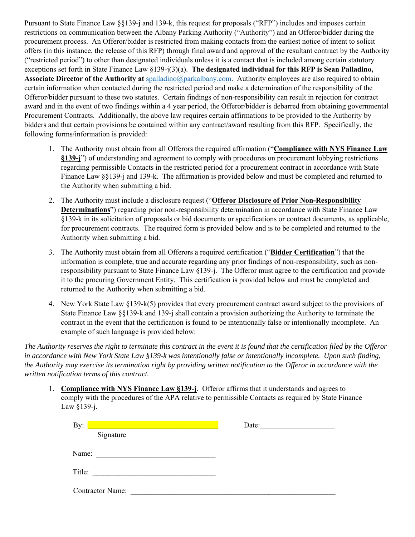Pursuant to State Finance Law §§139-j and 139-k, this request for proposals ("RFP") includes and imposes certain restrictions on communication between the Albany Parking Authority ("Authority") and an Offeror/bidder during the procurement process. An Offeror/bidder is restricted from making contacts from the earliest notice of intent to solicit offers (in this instance, the release of this RFP) through final award and approval of the resultant contract by the Authority ("restricted period") to other than designated individuals unless it is a contact that is included among certain statutory exceptions set forth in State Finance Law §139-j(3)(a). **The designated individual for this RFP is Sean Palladino, Associate Director of the Authority at** spalladino@parkalbany.com. Authority employees are also required to obtain certain information when contacted during the restricted period and make a determination of the responsibility of the Offeror/bidder pursuant to these two statutes. Certain findings of non-responsibility can result in rejection for contract award and in the event of two findings within a 4 year period, the Offeror/bidder is debarred from obtaining governmental Procurement Contracts. Additionally, the above law requires certain affirmations to be provided to the Authority by bidders and that certain provisions be contained within any contract/award resulting from this RFP. Specifically, the following forms/information is provided:

- 1. The Authority must obtain from all Offerors the required affirmation ("**Compliance with NYS Finance Law §139-j**") of understanding and agreement to comply with procedures on procurement lobbying restrictions regarding permissible Contacts in the restricted period for a procurement contract in accordance with State Finance Law §§139-j and 139-k. The affirmation is provided below and must be completed and returned to the Authority when submitting a bid.
- 2. The Authority must include a disclosure request ("**Offeror Disclosure of Prior Non-Responsibility Determinations**") regarding prior non-responsibility determination in accordance with State Finance Law §139-k in its solicitation of proposals or bid documents or specifications or contract documents, as applicable, for procurement contracts. The required form is provided below and is to be completed and returned to the Authority when submitting a bid.
- 3. The Authority must obtain from all Offerors a required certification ("**Bidder Certification**") that the information is complete, true and accurate regarding any prior findings of non-responsibility, such as nonresponsibility pursuant to State Finance Law §139-j. The Offeror must agree to the certification and provide it to the procuring Government Entity. This certification is provided below and must be completed and returned to the Authority when submitting a bid.
- 4. New York State Law §139-k(5) provides that every procurement contract award subject to the provisions of State Finance Law §§139-k and 139-j shall contain a provision authorizing the Authority to terminate the contract in the event that the certification is found to be intentionally false or intentionally incomplete. An example of such language is provided below:

*The Authority reserves the right to terminate this contract in the event it is found that the certification filed by the Offeror in accordance with New York State Law §139-k was intentionally false or intentionally incomplete. Upon such finding, the Authority may exercise its termination right by providing written notification to the Offeror in accordance with the written notification terms of this contract.*

1. **Compliance with NYS Finance Law §139-j**. Offeror affirms that it understands and agrees to comply with the procedures of the APA relative to permissible Contacts as required by State Finance Law §139-j.

| By:                     | Date: |
|-------------------------|-------|
| Signature               |       |
| Name:                   |       |
| Title:                  |       |
| <b>Contractor Name:</b> |       |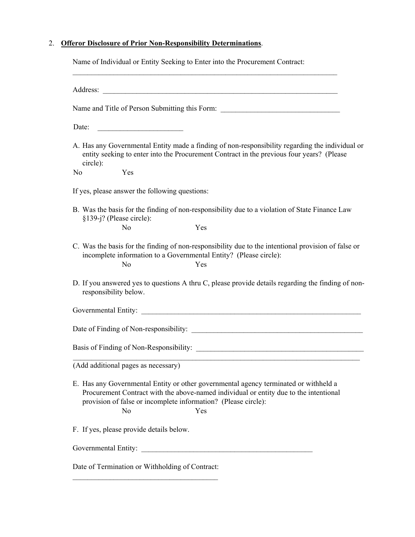#### 2. **Offeror Disclosure of Prior Non-Responsibility Determinations**.

Name of Individual or Entity Seeking to Enter into the Procurement Contract:

| Name and Title of Person Submitting this Form: __________________________________                                                                                                                                                                            |  |
|--------------------------------------------------------------------------------------------------------------------------------------------------------------------------------------------------------------------------------------------------------------|--|
| Date:                                                                                                                                                                                                                                                        |  |
| A. Has any Governmental Entity made a finding of non-responsibility regarding the individual or<br>entity seeking to enter into the Procurement Contract in the previous four years? (Please<br>circle):                                                     |  |
| Yes<br>No                                                                                                                                                                                                                                                    |  |
| If yes, please answer the following questions:                                                                                                                                                                                                               |  |
| B. Was the basis for the finding of non-responsibility due to a violation of State Finance Law<br>§139-j? (Please circle):                                                                                                                                   |  |
| No<br>Yes                                                                                                                                                                                                                                                    |  |
| C. Was the basis for the finding of non-responsibility due to the intentional provision of false or<br>incomplete information to a Governmental Entity? (Please circle):<br>No<br>Yes                                                                        |  |
| D. If you answered yes to questions A thru C, please provide details regarding the finding of non-<br>responsibility below.                                                                                                                                  |  |
|                                                                                                                                                                                                                                                              |  |
|                                                                                                                                                                                                                                                              |  |
|                                                                                                                                                                                                                                                              |  |
| (Add additional pages as necessary)                                                                                                                                                                                                                          |  |
| E. Has any Governmental Entity or other governmental agency terminated or withheld a<br>Procurement Contract with the above-named individual or entity due to the intentional<br>provision of false or incomplete information? (Please circle):<br>No<br>Yes |  |
| F. If yes, please provide details below.                                                                                                                                                                                                                     |  |
|                                                                                                                                                                                                                                                              |  |
| Date of Termination or Withholding of Contract:                                                                                                                                                                                                              |  |